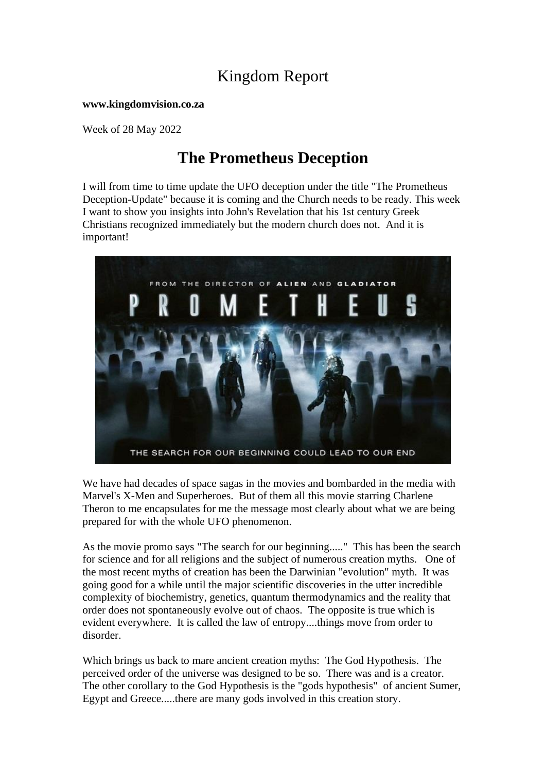## Kingdom Report

**www.kingdomvision.co.za**

Week of 28 May 2022

# **The Prometheus Deception**

I will from time to time update the UFO deception under the title "The Prometheus Deception-Update" because it is coming and the Church needs to be ready. This week I want to show you insights into John's Revelation that his 1st century Greek Christians recognized immediately but the modern church does not. And it is important!



We have had decades of space sagas in the movies and bombarded in the media with Marvel's X-Men and Superheroes. But of them all this movie starring Charlene Theron to me encapsulates for me the message most clearly about what we are being prepared for with the whole UFO phenomenon.

As the movie promo says "The search for our beginning....." This has been the search for science and for all religions and the subject of numerous creation myths. One of the most recent myths of creation has been the Darwinian "evolution" myth. It was going good for a while until the major scientific discoveries in the utter incredible complexity of biochemistry, genetics, quantum thermodynamics and the reality that order does not spontaneously evolve out of chaos. The opposite is true which is evident everywhere. It is called the law of entropy....things move from order to disorder.

Which brings us back to mare ancient creation myths: The God Hypothesis. The perceived order of the universe was designed to be so. There was and is a creator. The other corollary to the God Hypothesis is the "gods hypothesis" of ancient Sumer, Egypt and Greece.....there are many gods involved in this creation story.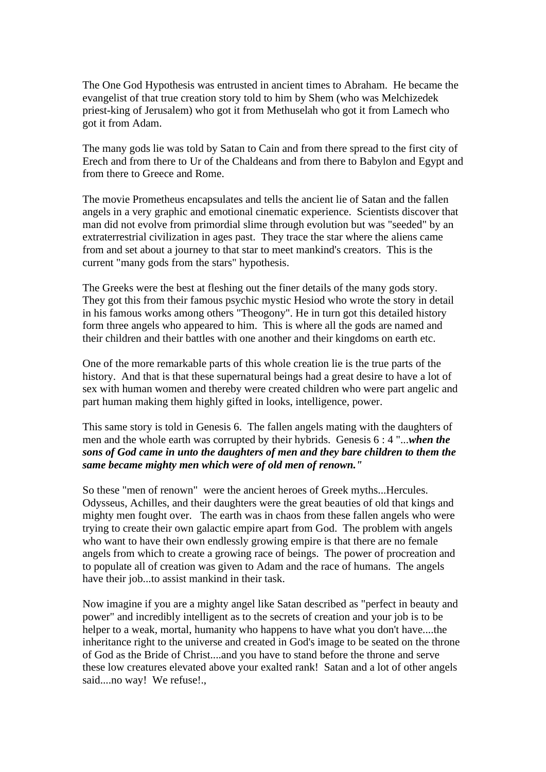The One God Hypothesis was entrusted in ancient times to Abraham. He became the evangelist of that true creation story told to him by Shem (who was Melchizedek priest-king of Jerusalem) who got it from Methuselah who got it from Lamech who got it from Adam.

The many gods lie was told by Satan to Cain and from there spread to the first city of Erech and from there to Ur of the Chaldeans and from there to Babylon and Egypt and from there to Greece and Rome.

The movie Prometheus encapsulates and tells the ancient lie of Satan and the fallen angels in a very graphic and emotional cinematic experience. Scientists discover that man did not evolve from primordial slime through evolution but was "seeded" by an extraterrestrial civilization in ages past. They trace the star where the aliens came from and set about a journey to that star to meet mankind's creators. This is the current "many gods from the stars" hypothesis.

The Greeks were the best at fleshing out the finer details of the many gods story. They got this from their famous psychic mystic Hesiod who wrote the story in detail in his famous works among others "Theogony". He in turn got this detailed history form three angels who appeared to him. This is where all the gods are named and their children and their battles with one another and their kingdoms on earth etc.

One of the more remarkable parts of this whole creation lie is the true parts of the history. And that is that these supernatural beings had a great desire to have a lot of sex with human women and thereby were created children who were part angelic and part human making them highly gifted in looks, intelligence, power.

This same story is told in Genesis 6. The fallen angels mating with the daughters of men and the whole earth was corrupted by their hybrids. Genesis 6 : 4 "...*when the sons of God came in unto the daughters of men and they bare children to them the same became mighty men which were of old men of renown."*

So these "men of renown" were the ancient heroes of Greek myths...Hercules. Odysseus, Achilles, and their daughters were the great beauties of old that kings and mighty men fought over. The earth was in chaos from these fallen angels who were trying to create their own galactic empire apart from God. The problem with angels who want to have their own endlessly growing empire is that there are no female angels from which to create a growing race of beings. The power of procreation and to populate all of creation was given to Adam and the race of humans. The angels have their job...to assist mankind in their task.

Now imagine if you are a mighty angel like Satan described as "perfect in beauty and power" and incredibly intelligent as to the secrets of creation and your job is to be helper to a weak, mortal, humanity who happens to have what you don't have....the inheritance right to the universe and created in God's image to be seated on the throne of God as the Bride of Christ....and you have to stand before the throne and serve these low creatures elevated above your exalted rank! Satan and a lot of other angels said....no way! We refuse!.,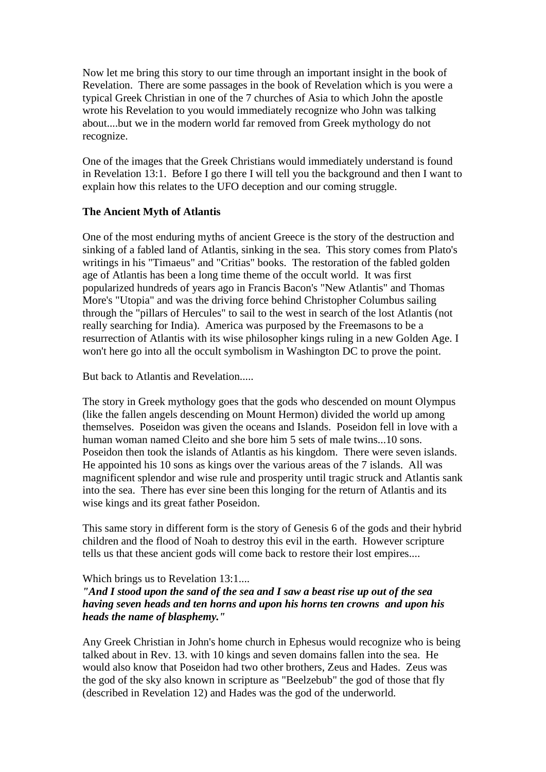Now let me bring this story to our time through an important insight in the book of Revelation. There are some passages in the book of Revelation which is you were a typical Greek Christian in one of the 7 churches of Asia to which John the apostle wrote his Revelation to you would immediately recognize who John was talking about....but we in the modern world far removed from Greek mythology do not recognize.

One of the images that the Greek Christians would immediately understand is found in Revelation 13:1. Before I go there I will tell you the background and then I want to explain how this relates to the UFO deception and our coming struggle.

#### **The Ancient Myth of Atlantis**

One of the most enduring myths of ancient Greece is the story of the destruction and sinking of a fabled land of Atlantis, sinking in the sea. This story comes from Plato's writings in his "Timaeus" and "Critias" books. The restoration of the fabled golden age of Atlantis has been a long time theme of the occult world. It was first popularized hundreds of years ago in Francis Bacon's "New Atlantis" and Thomas More's "Utopia" and was the driving force behind Christopher Columbus sailing through the "pillars of Hercules" to sail to the west in search of the lost Atlantis (not really searching for India). America was purposed by the Freemasons to be a resurrection of Atlantis with its wise philosopher kings ruling in a new Golden Age. I won't here go into all the occult symbolism in Washington DC to prove the point.

But back to Atlantis and Revelation.....

The story in Greek mythology goes that the gods who descended on mount Olympus (like the fallen angels descending on Mount Hermon) divided the world up among themselves. Poseidon was given the oceans and Islands. Poseidon fell in love with a human woman named Cleito and she bore him 5 sets of male twins...10 sons. Poseidon then took the islands of Atlantis as his kingdom. There were seven islands. He appointed his 10 sons as kings over the various areas of the 7 islands. All was magnificent splendor and wise rule and prosperity until tragic struck and Atlantis sank into the sea. There has ever sine been this longing for the return of Atlantis and its wise kings and its great father Poseidon.

This same story in different form is the story of Genesis 6 of the gods and their hybrid children and the flood of Noah to destroy this evil in the earth. However scripture tells us that these ancient gods will come back to restore their lost empires....

#### Which brings us to Revelation 13:1....

### *"And I stood upon the sand of the sea and I saw a beast rise up out of the sea having seven heads and ten horns and upon his horns ten crowns and upon his heads the name of blasphemy."*

Any Greek Christian in John's home church in Ephesus would recognize who is being talked about in Rev. 13. with 10 kings and seven domains fallen into the sea. He would also know that Poseidon had two other brothers, Zeus and Hades. Zeus was the god of the sky also known in scripture as "Beelzebub" the god of those that fly (described in Revelation 12) and Hades was the god of the underworld.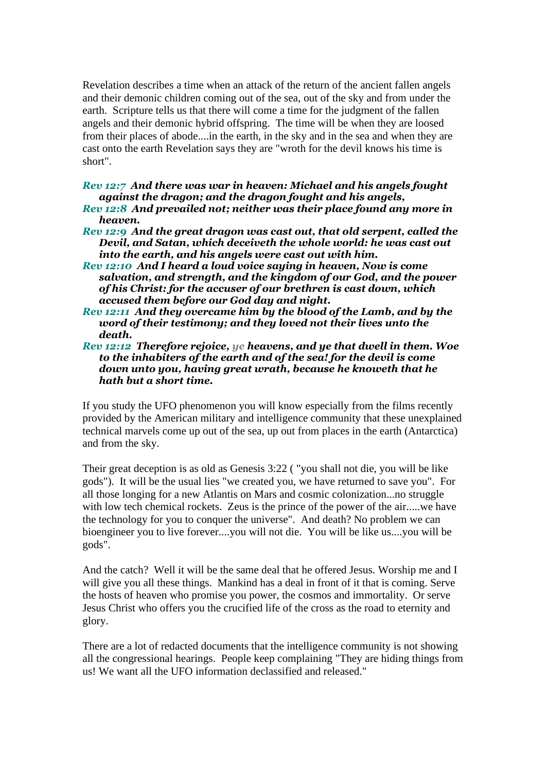Revelation describes a time when an attack of the return of the ancient fallen angels and their demonic children coming out of the sea, out of the sky and from under the earth. Scripture tells us that there will come a time for the judgment of the fallen angels and their demonic hybrid offspring. The time will be when they are loosed from their places of abode....in the earth, in the sky and in the sea and when they are cast onto the earth Revelation says they are "wroth for the devil knows his time is short".

*Rev 12:7 And there was war in heaven: Michael and his angels fought against the dragon; and the dragon fought and his angels,* 

- *Rev 12:8 And prevailed not; neither was their place found any more in heaven.*
- *Rev 12:9 And the great dragon was cast out, that old serpent, called the Devil, and Satan, which deceiveth the whole world: he was cast out into the earth, and his angels were cast out with him.*
- *Rev 12:10 And I heard a loud voice saying in heaven, Now is come salvation, and strength, and the kingdom of our God, and the power of his Christ: for the accuser of our brethren is cast down, which accused them before our God day and night.*
- *Rev 12:11 And they overcame him by the blood of the Lamb, and by the word of their testimony; and they loved not their lives unto the death.*
- *Rev 12:12 Therefore rejoice, ye heavens, and ye that dwell in them. Woe to the inhabiters of the earth and of the sea! for the devil is come down unto you, having great wrath, because he knoweth that he hath but a short time.*

If you study the UFO phenomenon you will know especially from the films recently provided by the American military and intelligence community that these unexplained technical marvels come up out of the sea, up out from places in the earth (Antarctica) and from the sky.

Their great deception is as old as Genesis 3:22 ( "you shall not die, you will be like gods"). It will be the usual lies "we created you, we have returned to save you". For all those longing for a new Atlantis on Mars and cosmic colonization...no struggle with low tech chemical rockets. Zeus is the prince of the power of the air...., we have the technology for you to conquer the universe". And death? No problem we can bioengineer you to live forever....you will not die. You will be like us....you will be gods".

And the catch? Well it will be the same deal that he offered Jesus. Worship me and I will give you all these things. Mankind has a deal in front of it that is coming. Serve the hosts of heaven who promise you power, the cosmos and immortality. Or serve Jesus Christ who offers you the crucified life of the cross as the road to eternity and glory.

There are a lot of redacted documents that the intelligence community is not showing all the congressional hearings. People keep complaining "They are hiding things from us! We want all the UFO information declassified and released."